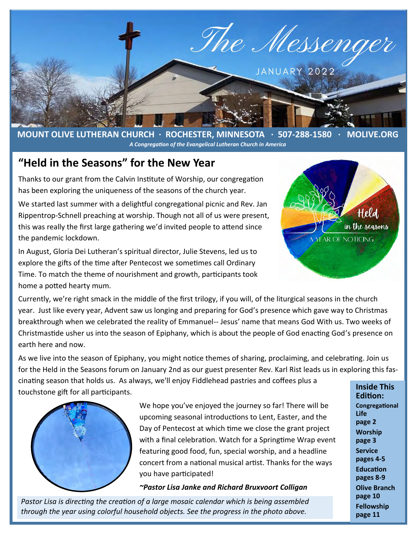

**MOUNT OLIVE LUTHERAN CHURCH · ROCHESTER, MINNESOTA · 507-288-1580 · MOLIVE.ORG**  *A Congregation of the Evangelical Lutheran Church in America*

#### **"Held in the Seasons" for the New Year**

Thanks to our grant from the Calvin Institute of Worship, our congregation has been exploring the uniqueness of the seasons of the church year.

We started last summer with a delightful congregational picnic and Rev. Jan Rippentrop-Schnell preaching at worship. Though not all of us were present, this was really the first large gathering we'd invited people to attend since the pandemic lockdown.

In August, Gloria Dei Lutheran's spiritual director, Julie Stevens, led us to explore the gifts of the time after Pentecost we sometimes call Ordinary Time. To match the theme of nourishment and growth, participants took home a potted hearty mum.



Currently, we're right smack in the middle of the first trilogy, if you will, of the liturgical seasons in the church year. Just like every year, Advent saw us longing and preparing for God's presence which gave way to Christmas breakthrough when we celebrated the reality of Emmanuel-- Jesus' name that means God With us. Two weeks of Christmastide usher us into the season of Epiphany, which is about the people of God enacting God's presence on earth here and now.

As we live into the season of Epiphany, you might notice themes of sharing, proclaiming, and celebrating. Join us for the Held in the Seasons forum on January 2nd as our guest presenter Rev. Karl Rist leads us in exploring this fas-

cinating season that holds us. As always, we'll enjoy Fiddlehead pastries and coffees plus a touchstone gift for all participants.



We hope you've enjoyed the journey so far! There will be upcoming seasonal introductions to Lent, Easter, and the Day of Pentecost at which time we close the grant project with a final celebration. Watch for a Springtime Wrap event featuring good food, fun, special worship, and a headline concert from a national musical artist. Thanks for the ways you have participated!

*~Pastor Lisa Janke and Richard Bruxvoort Colligan*

*Pastor Lisa is directing the creation of a large mosaic calendar which is being assembled through the year using colorful household objects. See the progress in the photo above.*

**Inside This Edition: Congregational Life page 2 Worship page 3 Service pages 4-5 Education pages 8-9 Olive Branch page 10 Fellowship page 11**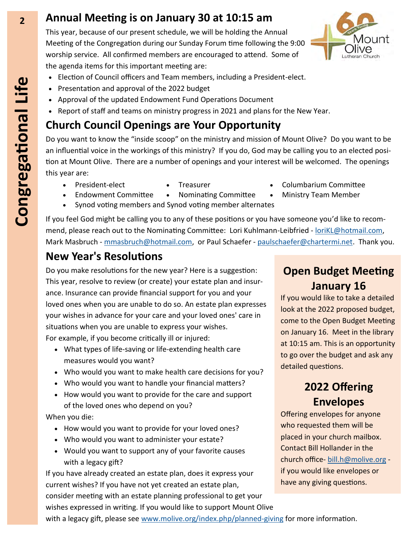#### **2 Annual Meeting is on January 30 at 10:15 am**

This year, because of our present schedule, we will be holding the Annual Meeting of the Congregation during our Sunday Forum time following the 9:00 worship service. All confirmed members are encouraged to attend. Some of the agenda items for this important meeting are:

- Election of Council officers and Team members, including a President-elect.
- Presentation and approval of the 2022 budget
- Approval of the updated Endowment Fund Operations Document
- Report of staff and teams on ministry progress in 2021 and plans for the New Year.

## **Church Council Openings are Your Opportunity**

Do you want to know the "inside scoop" on the ministry and mission of Mount Olive? Do you want to be an influential voice in the workings of this ministry? If you do, God may be calling you to an elected position at Mount Olive. There are a number of openings and your interest will be welcomed. The openings this year are:

- 
- 
- President-elect Treasurer • Columbarium Committee
- Endowment Committee Nominating Committee Ministry Team Member • Synod voting members and Synod voting member alternates

If you feel God might be calling you to any of these positions or you have someone you'd like to recommend, please reach out to the Nominating Committee: Lori Kuhlmann-Leibfried - loriKL@hotmail.com, Mark Masbruch - [mmasbruch@hotmail.com,](mailto:mmasbruch@hotmail.com) or Paul Schaefer - [paulschaefer@chartermi.net.](mailto:paulschaefer@chartermi.net) Thank you.

#### **New Year's Resolutions**

Do you make resolutions for the new year? Here is a suggestion: This year, resolve to review (or create) your estate plan and insurance. Insurance can provide financial support for you and your loved ones when you are unable to do so. An estate plan expresses your wishes in advance for your care and your loved ones' care in situations when you are unable to express your wishes. For example, if you become critically ill or injured:

- What types of life-saving or life-extending health care measures would you want?
- Who would you want to make health care decisions for you?
- Who would you want to handle your financial matters?
- How would you want to provide for the care and support of the loved ones who depend on you?

When you die:

- How would you want to provide for your loved ones?
- Who would you want to administer your estate?
- Would you want to support any of your favorite causes with a legacy gift?

If you have already created an estate plan, does it express your current wishes? If you have not yet created an estate plan, consider meeting with an estate planning professional to get your wishes expressed in writing. If you would like to support Mount Olive with a legacy gift, please see [www.molive.org/index.php/planned](http://www.molive.org/index.php/planned-giving)-giving for more information.

# **Open Budget Meeting January 16**

If you would like to take a detailed look at the 2022 proposed budget, come to the Open Budget Meeting on January 16. Meet in the library at 10:15 am. This is an opportunity to go over the budget and ask any detailed questions.

## **2022 Offering Envelopes**

Offering envelopes for anyone who requested them will be placed in your church mailbox. Contact Bill Hollander in the church office- [bill.h@molive.org](mailto:bill.h@molive.org) if you would like envelopes or have any giving questions.



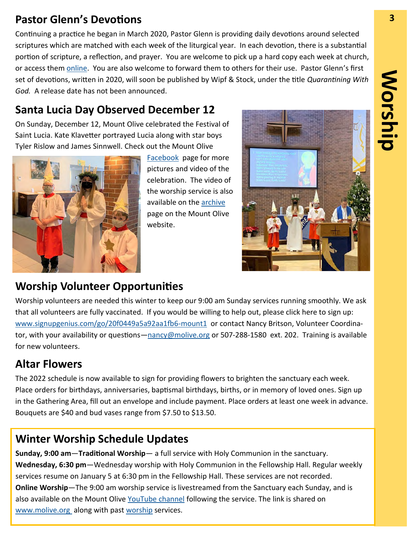#### **Pastor Glenn's Devotions 3**

Continuing a practice he began in March 2020, Pastor Glenn is providing daily devotions around selected scriptures which are matched with each week of the liturgical year. In each devotion, there is a substantial portion of scripture, a reflection, and prayer. You are welcome to pick up a hard copy each week at church, or access them [online.](http://molive.org/index.php/weekly-devotional) You are also welcome to forward them to others for their use. Pastor Glenn's first set of devotions, written in 2020, will soon be published by Wipf & Stock, under the title *Quarantining With God.* A release date has not been announced.

## **Santa Lucia Day Observed December 12**

On Sunday, December 12, Mount Olive celebrated the Festival of Saint Lucia. Kate Klavetter portrayed Lucia along with star boys Tyler Rislow and James Sinnwell. Check out the Mount Olive



[Facebook](https://www.facebook.com/MOliveMedCity) page for more pictures and video of the celebration. The video of the worship service is also available on the [archive](https://www.youtube.com/watch?v=R6Ieqs08nqc) page on the Mount Olive website.



## **Worship Volunteer Opportunities**

Worship volunteers are needed this winter to keep our 9:00 am Sunday services running smoothly. We ask that all volunteers are fully vaccinated. If you would be willing to help out, please click here to sign up: [www.signupgenius.com/go/20f0449a5a92aa1fb6](https://www.signupgenius.com/go/20f0449a5a92aa1fb6-mount1)-mount1 or contact Nancy Britson, Volunteer Coordinator, with your availability or questions—[nancy@molive.org](mailto:nancy@molive.org) or 507-288-1580 ext. 202. Training is available for new volunteers.

# **Altar Flowers**

The 2022 schedule is now available to sign for providing flowers to brighten the sanctuary each week. Place orders for birthdays, anniversaries, baptismal birthdays, births, or in memory of loved ones. Sign up in the Gathering Area, fill out an envelope and include payment. Place orders at least one week in advance. Bouquets are \$40 and bud vases range from \$7.50 to \$13.50.

# **Winter Worship Schedule Updates**

**Sunday, 9:00 am**—**Traditional Worship**— a full service with Holy Communion in the sanctuary. **Wednesday, 6:30 pm**—Wednesday worship with Holy Communion in the Fellowship Hall. Regular weekly services resume on January 5 at 6:30 pm in the Fellowship Hall. These services are not recorded. **Online Worship**—The 9:00 am worship service is livestreamed from the Sanctuary each Sunday, and is also available on the Mount Olive [YouTube channel](https://www.youtube.com/user/MountOliveELCA) following the service. The link is shared on [www.molive.org](http://www.molive.org) along with past [worship](http://molive.org/index.php/sermons) services.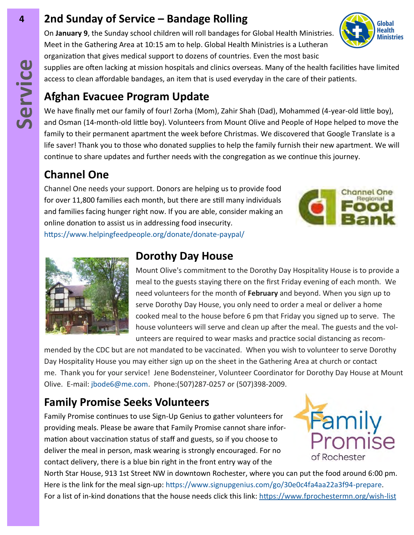## **4 2nd Sunday of Service – Bandage Rolling**

On **January 9**, the Sunday school children will roll bandages for Global Health Ministries. Meet in the Gathering Area at 10:15 am to help. Global Health Ministries is a Lutheran organization that gives medical support to dozens of countries. Even the most basic

supplies are often lacking at mission hospitals and clinics overseas. Many of the health facilities have limited access to clean affordable bandages, an item that is used everyday in the care of their patients.

# **Afghan Evacuee Program Update**

We have finally met our family of four! Zorha (Mom), Zahir Shah (Dad), Mohammed (4-year-old little boy), and Osman (14-month-old little boy). Volunteers from Mount Olive and People of Hope helped to move the family to their permanent apartment the week before Christmas. We discovered that Google Translate is a life saver! Thank you to those who donated supplies to help the family furnish their new apartment. We will continue to share updates and further needs with the congregation as we continue this journey.

# **Channel One**

Channel One needs your support. Donors are helping us to provide food for over 11,800 families each month, but there are still many individuals and families facing hunger right now. If you are able, consider making an online donation to assist us in addressing food insecurity. [https://www.helpingfeedpeople.org/donate/donate](https://www.helpingfeedpeople.org/donate/donate-paypal/)-paypal/





#### **Dorothy Day House**

Mount Olive's commitment to the Dorothy Day Hospitality House is to provide a meal to the guests staying there on the first Friday evening of each month. We need volunteers for the month of **February** and beyond. When you sign up to serve Dorothy Day House, you only need to order a meal or deliver a home cooked meal to the house before 6 pm that Friday you signed up to serve. The house volunteers will serve and clean up after the meal. The guests and the volunteers are required to wear masks and practice social distancing as recom-

mended by the CDC but are not mandated to be vaccinated. When you wish to volunteer to serve Dorothy Day Hospitality House you may either sign up on the sheet in the Gathering Area at church or contact me. Thank you for your service! Jene Bodensteiner, Volunteer Coordinator for Dorothy Day House at Mount Olive. E-mail: [jbode6@me.com.](mailto:jbode6@me.com) Phone:(507)287-0257 or (507)398-2009.

# **Family Promise Seeks Volunteers**

Family Promise continues to use Sign-Up Genius to gather volunteers for providing meals. Please be aware that Family Promise cannot share information about vaccination status of staff and guests, so if you choose to deliver the meal in person, mask wearing is strongly encouraged. For no contact delivery, there is a blue bin right in the front entry way of the



North Star House, 913 1st Street NW in downtown Rochester, where you can put the food around 6:00 pm. Here is the link for the meal sign-up: [https://www.signupgenius.com/go/30e0c4fa4aa22a3f94](https://www.signupgenius.com/go/30e0c4fa4aa22a3f94-prepare)-prepare. For a list of in-kind donations that the house needs click this link: [https://www.fprochestermn.org/wish](https://www.fprochestermn.org/wish-list)-list

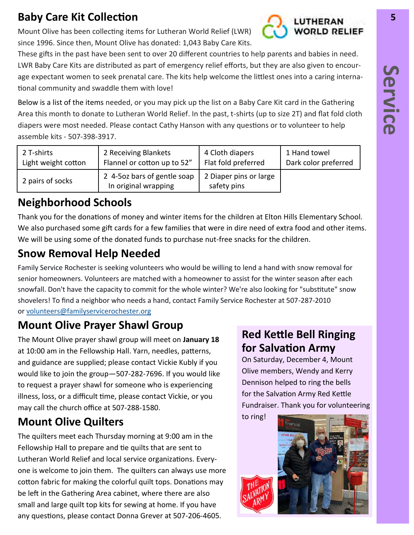# **Baby Care Kit Collection 5**

Mount Olive has been collecting items for Lutheran World Relief (LWR) since 1996. Since then, Mount Olive has donated: 1,043 Baby Care Kits.

These gifts in the past have been sent to over 20 different countries to help parents and babies in need. LWR Baby Care Kits are distributed as part of emergency relief efforts, but they are also given to encourage expectant women to seek prenatal care. The kits help welcome the littlest ones into a caring international community and swaddle them with love!

Below is a list of the items needed, or you may pick up the list on a Baby Care Kit card in the Gathering Area this month to donate to Lutheran World Relief. In the past, t-shirts (up to size 2T) and flat fold cloth diapers were most needed. Please contact Cathy Hanson with any questions or to volunteer to help assemble kits - 507-398-3917.

| 2 T-shirts          | 2 Receiving Blankets                                | 4 Cloth diapers                       | 1 Hand towel         |
|---------------------|-----------------------------------------------------|---------------------------------------|----------------------|
| Light weight cotton | Flannel or cotton up to 52"                         | Flat fold preferred                   | Dark color preferred |
| 2 pairs of socks    | 2 4-5oz bars of gentle soap<br>In original wrapping | 2 Diaper pins or large<br>safety pins |                      |

# **Neighborhood Schools**

Thank you for the donations of money and winter items for the children at Elton Hills Elementary School. We also purchased some gift cards for a few families that were in dire need of extra food and other items. We will be using some of the donated funds to purchase nut-free snacks for the children.

# **Snow Removal Help Needed**

Family Service Rochester is seeking volunteers who would be willing to lend a hand with snow removal for senior homeowners. Volunteers are matched with a homeowner to assist for the winter season after each snowfall. Don't have the capacity to commit for the whole winter? We're also looking for "substitute" snow shovelers! To find a neighbor who needs a hand, contact Family Service Rochester at 507-287-2010 or [volunteers@familyservicerochester.org](mailto:volunteers@familyservicerochester.org)

# **Mount Olive Prayer Shawl Group**

The Mount Olive prayer shawl group will meet on **January 18**  at 10:00 am in the Fellowship Hall. Yarn, needles, patterns, and guidance are supplied; please contact Vickie Kubly if you would like to join the group—507-282-7696. If you would like to request a prayer shawl for someone who is experiencing illness, loss, or a difficult time, please contact Vickie, or you may call the church office at 507-288-1580.

# **Mount Olive Quilters**

The quilters meet each Thursday morning at 9:00 am in the Fellowship Hall to prepare and tie quilts that are sent to Lutheran World Relief and local service organizations. Everyone is welcome to join them. The quilters can always use more cotton fabric for making the colorful quilt tops. Donations may be left in the Gathering Area cabinet, where there are also small and large quilt top kits for sewing at home. If you have any questions, please contact Donna Grever at 507-206-4605.

#### **Red Kettle Bell Ringing for Salvation Army**

On Saturday, December 4, Mount Olive members, Wendy and Kerry Dennison helped to ring the bells for the Salvation Army Red Kettle Fundraiser. Thank you for volunteering



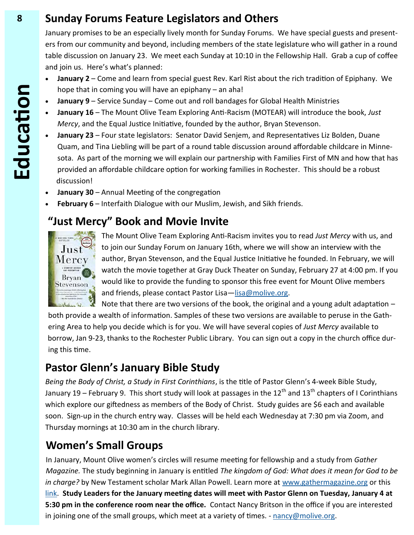#### **8 Sunday Forums Feature Legislators and Others**

January promises to be an especially lively month for Sunday Forums. We have special guests and presenters from our community and beyond, including members of the state legislature who will gather in a round table discussion on January 23. We meet each Sunday at 10:10 in the Fellowship Hall. Grab a cup of coffee and join us. Here's what's planned:

- **January 2**  Come and learn from special guest Rev. Karl Rist about the rich tradition of Epiphany. We hope that in coming you will have an epiphany – an aha!
- **January 9**  Service Sunday Come out and roll bandages for Global Health Ministries
- **January 16**  The Mount Olive Team Exploring Anti-Racism (MOTEAR) will introduce the book, *Just Mercy*, and the Equal Justice Initiative, founded by the author, Bryan Stevenson.
- **January 23**  Four state legislators: Senator David Senjem, and Representatives Liz Bolden, Duane Quam, and Tina Liebling will be part of a round table discussion around affordable childcare in Minnesota. As part of the morning we will explain our partnership with Families First of MN and how that has provided an affordable childcare option for working families in Rochester. This should be a robust discussion!
- **January 30**  Annual Meeting of the congregation
- **February 6**  Interfaith Dialogue with our Muslim, Jewish, and Sikh friends.

## **"Just Mercy" Book and Movie Invite**



The Mount Olive Team Exploring Anti-Racism invites you to read *Just Mercy* with us, and to join our Sunday Forum on January 16th, where we will show an interview with the author, Bryan Stevenson, and the Equal Justice Initiative he founded. In February, we will watch the movie together at Gray Duck Theater on Sunday, February 27 at 4:00 pm. If you would like to provide the funding to sponsor this free event for Mount Olive members and friends, please contact Pastor Lisa[—lisa@molive.org.](mailto:lisa@molive.org)

Note that there are two versions of the book, the original and a young adult adaptation – both provide a wealth of information. Samples of these two versions are available to peruse in the Gathering Area to help you decide which is for you. We will have several copies of *Just Mercy* available to borrow, Jan 9-23, thanks to the Rochester Public Library. You can sign out a copy in the church office during this time.

# **Pastor Glenn's January Bible Study**

*Being the Body of Christ, a Study in First Corinthians*, is the title of Pastor Glenn's 4-week Bible Study, January 19 – February 9. This short study will look at passages in the 12<sup>th</sup> and 13<sup>th</sup> chapters of I Corinthians which explore our giftedness as members of the Body of Christ. Study guides are \$6 each and available soon. Sign-up in the church entry way. Classes will be held each Wednesday at 7:30 pm via Zoom, and Thursday mornings at 10:30 am in the church library.

# **Women's Small Groups**

In January, Mount Olive women's circles will resume meeting for fellowship and a study from *Gather Magazine.* The study beginning in January is entitled *The kingdom of God: What does it mean for God to be*  in charge? by New Testament scholar Mark Allan Powell. Learn more at [www.gathermagazine.org](http://www.gathermagazine.org) or this [link.](https://www.gathermagazine.org/winter-2022-the-kingdom-of-god-by-the-rev-mark-allan-powell/) **Study Leaders for the January meeting dates will meet with Pastor Glenn on Tuesday, January 4 at 5:30 pm in the conference room near the office.** Contact Nancy Britson in the office if you are interested in joining one of the small groups, which meet at a variety of times. - [nancy@molive.org.](mailto:nancy@molive.org)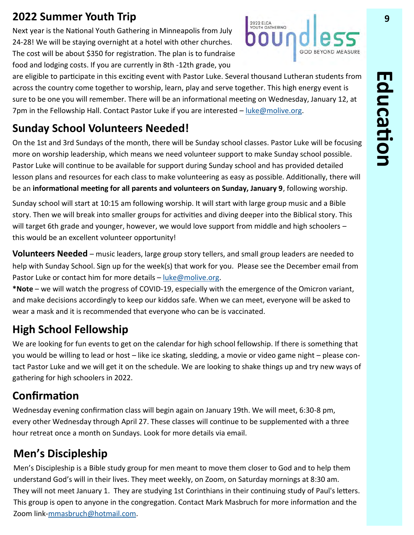Next year is the National Youth Gathering in Minneapolis from July 24-28! We will be staying overnight at a hotel with other churches. The cost will be about \$350 for registration. The plan is to fundraise food and lodging costs. If you are currently in 8th -12th grade, you



are eligible to participate in this exciting event with Pastor Luke. Several thousand Lutheran students from across the country come together to worship, learn, play and serve together. This high energy event is sure to be one you will remember. There will be an informational meeting on Wednesday, January 12, at 7pm in the Fellowship Hall. Contact Pastor Luke if you are interested – [luke@molive.org.](mailto:luke@molive.org) 

## **Sunday School Volunteers Needed!**

On the 1st and 3rd Sundays of the month, there will be Sunday school classes. Pastor Luke will be focusing more on worship leadership, which means we need volunteer support to make Sunday school possible. Pastor Luke will continue to be available for support during Sunday school and has provided detailed lesson plans and resources for each class to make volunteering as easy as possible. Additionally, there will be an **informational meeting for all parents and volunteers on Sunday, January 9**, following worship.

Sunday school will start at 10:15 am following worship. It will start with large group music and a Bible story. Then we will break into smaller groups for activities and diving deeper into the Biblical story. This will target 6th grade and younger, however, we would love support from middle and high schoolers this would be an excellent volunteer opportunity!

**Volunteers Needed** – music leaders, large group story tellers, and small group leaders are needed to help with Sunday School. Sign up for the week(s) that work for you. Please see the December email from Pastor Luke or contact him for more details - [luke@molive.org.](mailto:luke@molive.org)

**\*Note** – we will watch the progress of COVID-19, especially with the emergence of the Omicron variant, and make decisions accordingly to keep our kiddos safe. When we can meet, everyone will be asked to wear a mask and it is recommended that everyone who can be is vaccinated.

## **High School Fellowship**

We are looking for fun events to get on the calendar for high school fellowship. If there is something that you would be willing to lead or host – like ice skating, sledding, a movie or video game night – please contact Pastor Luke and we will get it on the schedule. We are looking to shake things up and try new ways of gathering for high schoolers in 2022.

# **Confirmation**

Wednesday evening confirmation class will begin again on January 19th. We will meet, 6:30-8 pm, every other Wednesday through April 27. These classes will continue to be supplemented with a three hour retreat once a month on Sundays. Look for more details via email.

# **Men's Discipleship**

Men's Discipleship is a Bible study group for men meant to move them closer to God and to help them understand God's will in their lives. They meet weekly, on Zoom, on Saturday mornings at 8:30 am. They will not meet January 1. They are studying 1st Corinthians in their continuing study of Paul's letters. This group is open to anyone in the congregation. Contact Mark Masbruch for more information and the Zoom link-[mmasbruch@hotmail.com.](mailto:mmasbruch@hotmail.com)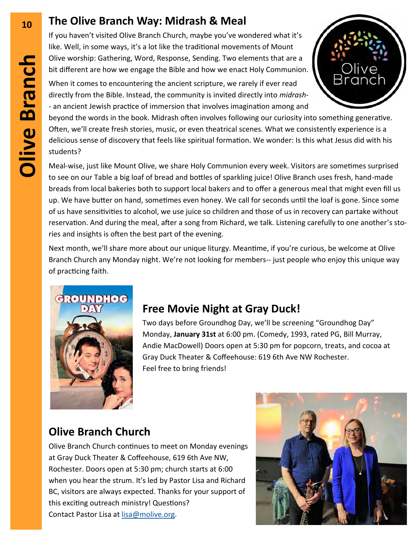## **<sup>10</sup> The Olive Branch Way: Midrash & Meal**

If you haven't visited Olive Branch Church, maybe you've wondered what it's like. Well, in some ways, it's a lot like the traditional movements of Mount Olive worship: Gathering, Word, Response, Sending. Two elements that are a bit different are how we engage the Bible and how we enact Holy Communion.

When it comes to encountering the ancient scripture, we rarely if ever read directly from the Bible. Instead, the community is invited directly into *midrash*- - an ancient Jewish practice of immersion that involves imagination among and

beyond the words in the book. Midrash often involves following our curiosity into something generative. Often, we'll create fresh stories, music, or even theatrical scenes. What we consistently experience is a delicious sense of discovery that feels like spiritual formation. We wonder: Is this what Jesus did with his students?

Meal-wise, just like Mount Olive, we share Holy Communion every week. Visitors are sometimes surprised to see on our Table a big loaf of bread and bottles of sparkling juice! Olive Branch uses fresh, hand-made breads from local bakeries both to support local bakers and to offer a generous meal that might even fill us up. We have butter on hand, sometimes even honey. We call for seconds until the loaf is gone. Since some of us have sensitivities to alcohol, we use juice so children and those of us in recovery can partake without reservation. And during the meal, after a song from Richard, we talk. Listening carefully to one another's stories and insights is often the best part of the evening.

Next month, we'll share more about our unique liturgy. Meantime, if you're curious, be welcome at Olive Branch Church any Monday night. We're not looking for members-- just people who enjoy this unique way of practicing faith.



## **Free Movie Night at Gray Duck!**

Two days before Groundhog Day, we'll be screening "Groundhog Day" Monday, **January 31st** at 6:00 pm. (Comedy, 1993, rated PG, Bill Murray, Andie MacDowell) Doors open at 5:30 pm for popcorn, treats, and cocoa at Gray Duck Theater & Coffeehouse: 619 6th Ave NW Rochester. Feel free to bring friends!

# **Olive Branch Church**

Olive Branch Church continues to meet on Monday evenings at Gray Duck Theater & Coffeehouse, 619 6th Ave NW, Rochester. Doors open at 5:30 pm; church starts at 6:00 when you hear the strum. It's led by Pastor Lisa and Richard BC, visitors are always expected. Thanks for your support of this exciting outreach ministry! Questions? Contact Pastor Lisa at [lisa@molive.org.](mailto:lisa@molive.org) 

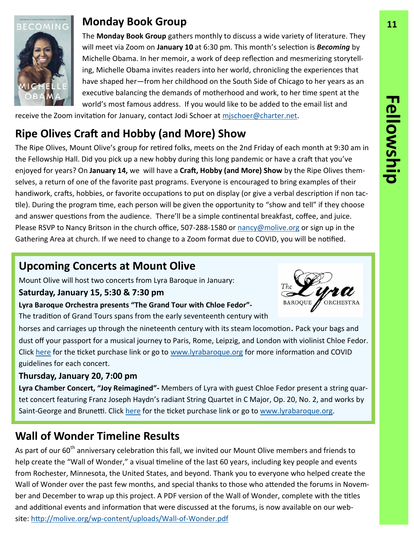

#### **Monday Book Group 11**

The **Monday Book Group** gathers monthly to discuss a wide variety of literature. They will meet via Zoom on **January 10** at 6:30 pm. This month's selection is *Becoming* by Michelle Obama. In her memoir, a work of deep reflection and mesmerizing storytelling, Michelle Obama invites readers into her world, chronicling the experiences that have shaped her—from her childhood on the South Side of Chicago to her years as an executive balancing the demands of motherhood and work, to her time spent at the world's most famous address. If you would like to be added to the email list and

receive the Zoom invitation for January, contact Jodi Schoer at [mjschoer@charter.net.](mailto:mjschoer@charter.net)

# **Ripe Olives Craft and Hobby (and More) Show**

The Ripe Olives, Mount Olive's group for retired folks, meets on the 2nd Friday of each month at 9:30 am in the Fellowship Hall. Did you pick up a new hobby during this long pandemic or have a craft that you've enjoyed for years? On **January 14,** we will have a **Craft, Hobby (and More) Show** by the Ripe Olives themselves, a return of one of the favorite past programs. Everyone is encouraged to bring examples of their handiwork, crafts, hobbies, or favorite occupations to put on display (or give a verbal description if non tactile). During the program time, each person will be given the opportunity to "show and tell" if they choose and answer questions from the audience. There'll be a simple continental breakfast, coffee, and juice. Please RSVP to Nancy Britson in the church office, 507-288-1580 or [nancy@molive.org](mailto:nancy@molive.org) or sign up in the Gathering Area at church. If we need to change to a Zoom format due to COVID, you will be notified.

#### **Upcoming Concerts at Mount Olive**

Mount Olive will host two concerts from Lyra Baroque in January:

#### **Saturday, January 15, 5:30 & 7:30 pm**

**Lyra Baroque Orchestra presents "The Grand Tour with Chloe Fedor"-**

The tradition of Grand Tours spans from the early seventeenth century with

horses and carriages up through the nineteenth century with its steam locomotion. Pack your bags and dust off your passport for a musical journey to Paris, Rome, Leipzig, and London with violinist Chloe Fedor. Click [here](https://lyra.app.neoncrm.com/np/clients/lyra/event.jsp?event=936) for the ticket purchase link or go to [www.lyrabaroque.org](http://www.lyrabaroque.org) for more information and COVID guidelines for each concert.

#### **Thursday, January 20, 7:00 pm**

**Lyra Chamber Concert, "Joy Reimagined"-** Members of Lyra with guest Chloe Fedor present a string quartet concert featuring Franz Joseph Haydn's radiant String Quartet in C Major, Op. 20, No. 2, and works by Saint-George and Brunetti. Click [here](https://lyra.app.neoncrm.com/np/clients/lyra/event.jsp?event=926) for the ticket purchase link or go to [www.lyrabaroque.org.](http://www.lyrabaroque.org)

# **Wall of Wonder Timeline Results**

As part of our 60<sup>th</sup> anniversary celebration this fall, we invited our Mount Olive members and friends to help create the "Wall of Wonder," a visual timeline of the last 60 years, including key people and events from Rochester, Minnesota, the United States, and beyond. Thank you to everyone who helped create the Wall of Wonder over the past few months, and special thanks to those who attended the forums in November and December to wrap up this project. A PDF version of the Wall of Wonder, complete with the titles and additional events and information that were discussed at the forums, is now available on our website: http://molive.org/wp-[content/uploads/Wall](http://molive.org/wp-content/uploads/Wall-of-Wonder.pdf)-of-Wonder.pdf